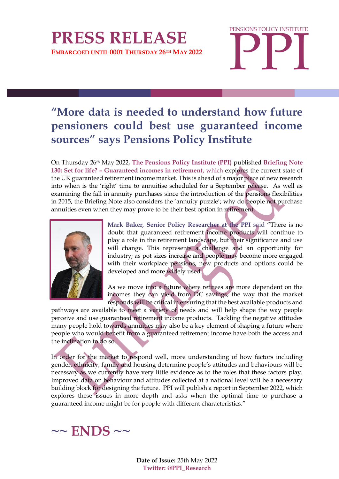## **PRESS RELEASE EMBARGOED UNTIL 0001 THURSDAY 26TH MAY 2022**

**PPI** PENSIONS POLICY INSTITUTE

## **"More data is needed to understand how future pensioners could best use guaranteed income sources" says Pensions Policy Institute**

On Thursday 26th May 2022, **The Pensions Policy Institute (PPI)** published **Briefing Note 130: Set for life? – Guaranteed incomes in retirement,** which explores the current state of the UK guaranteed retirement income market. This is ahead of a major piece of new research into when is the 'right' time to annuitise scheduled for a September release. As well as examining the fall in annuity purchases since the introduction of the pensions flexibilities in 2015, the Briefing Note also considers the 'annuity puzzle'; why do people not purchase annuities even when they may prove to be their best option in retirement.



**Mark Baker, Senior Policy Researcher at the PPI** said "There is no doubt that guaranteed retirement income products will continue to play a role in the retirement landscape, but their significance and use will change. This represents a challenge and an opportunity for industry; as pot sizes increase and people may become more engaged with their workplace pensions, new products and options could be developed and more widely used.

As we move into a future where retirees are more dependent on the incomes they can yield from DC savings, the way that the market responds will be critical in ensuring that the best available products and

pathways are available to meet a variety of needs and will help shape the way people perceive and use guaranteed retirement income products. Tackling the negative attitudes many people hold towards annuities may also be a key element of shaping a future where people who would benefit from a guaranteed retirement income have both the access and the inclination to do so.

In order for the market to respond well, more understanding of how factors including gender, ethnicity, family and housing determine people's attitudes and behaviours will be necessary as we currently have very little evidence as to the roles that these factors play. Improved data on behaviour and attitudes collected at a national level will be a necessary building block for designing the future. PPI will publish a report in September 2022, which explores these issues in more depth and asks when the optimal time to purchase a guaranteed income might be for people with different characteristics."



**Date of Issue:** 25th May 2022 **Twitter: @PPI\_Research**